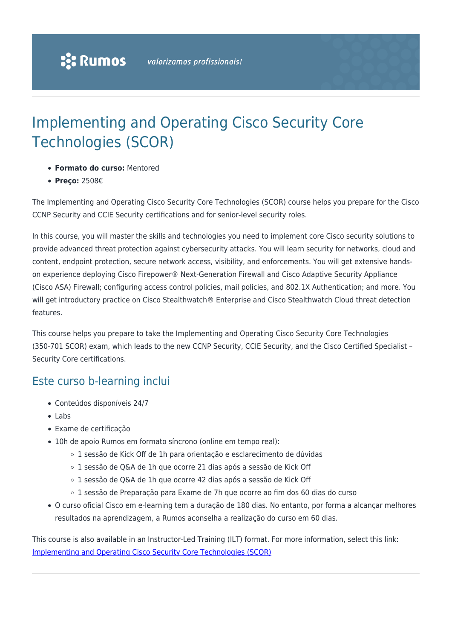# Implementing and Operating Cisco Security Core Technologies (SCOR)

- **Formato do curso:** Mentored
- **Preço:** 2508€

The Implementing and Operating Cisco Security Core Technologies (SCOR) course helps you prepare for the Cisco CCNP Security and CCIE Security certifications and for senior-level security roles.

In this course, you will master the skills and technologies you need to implement core Cisco security solutions to provide advanced threat protection against cybersecurity attacks. You will learn security for networks, cloud and content, endpoint protection, secure network access, visibility, and enforcements. You will get extensive handson experience deploying Cisco Firepower® Next-Generation Firewall and Cisco Adaptive Security Appliance (Cisco ASA) Firewall; configuring access control policies, mail policies, and 802.1X Authentication; and more. You will get introductory practice on Cisco Stealthwatch® Enterprise and Cisco Stealthwatch Cloud threat detection features.

This course helps you prepare to take the Implementing and Operating Cisco Security Core Technologies (350-701 SCOR) exam, which leads to the new CCNP Security, CCIE Security, and the Cisco Certified Specialist – Security Core certifications.

### Este curso b-learning inclui

- Conteúdos disponíveis 24/7
- $\bullet$  Labs
- Exame de certificação
- 10h de apoio Rumos em formato síncrono (online em tempo real):
	- 1 sessão de Kick Off de 1h para orientação e esclarecimento de dúvidas
	- 1 sessão de Q&A de 1h que ocorre 21 dias após a sessão de Kick Off
	- 1 sessão de Q&A de 1h que ocorre 42 dias após a sessão de Kick Off
	- 1 sessão de Preparação para Exame de 7h que ocorre ao fim dos 60 dias do curso
- O curso oficial Cisco em e-learning tem a duração de 180 dias. No entanto, por forma a alcançar melhores resultados na aprendizagem, a Rumos aconselha a realização do curso em 60 dias.

This course is also available in an Instructor-Led Training (ILT) format. For more information, select this link: [Implementing and Operating Cisco Security Core Technologies \(SCOR\)](https://www.rumos.pt/curso/implementing-and-operating-cisco-security-core-technologies-scor-presencial-com-live-training/)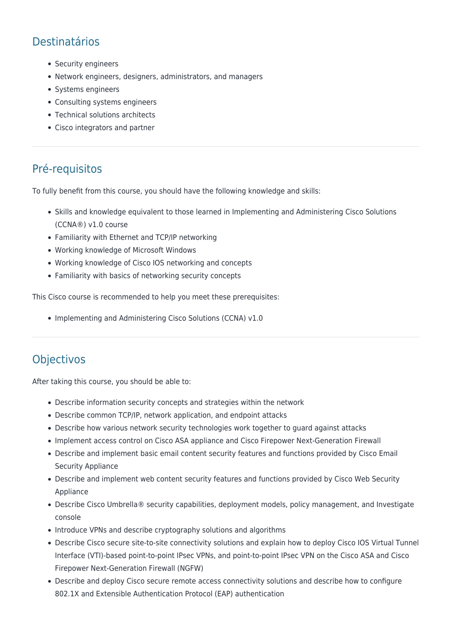## Destinatários

- Security engineers
- Network engineers, designers, administrators, and managers
- Systems engineers
- Consulting systems engineers
- Technical solutions architects
- Cisco integrators and partner

### Pré-requisitos

To fully benefit from this course, you should have the following knowledge and skills:

- Skills and knowledge equivalent to those learned in Implementing and Administering Cisco Solutions (CCNA®) v1.0 course
- Familiarity with Ethernet and TCP/IP networking
- Working knowledge of Microsoft Windows
- Working knowledge of Cisco IOS networking and concepts
- Familiarity with basics of networking security concepts

This Cisco course is recommended to help you meet these prerequisites:

• Implementing and Administering Cisco Solutions (CCNA) v1.0

### **Objectivos**

After taking this course, you should be able to:

- Describe information security concepts and strategies within the network
- Describe common TCP/IP, network application, and endpoint attacks
- Describe how various network security technologies work together to guard against attacks
- Implement access control on Cisco ASA appliance and Cisco Firepower Next-Generation Firewall
- Describe and implement basic email content security features and functions provided by Cisco Email Security Appliance
- Describe and implement web content security features and functions provided by Cisco Web Security Appliance
- Describe Cisco Umbrella® security capabilities, deployment models, policy management, and Investigate console
- Introduce VPNs and describe cryptography solutions and algorithms
- Describe Cisco secure site-to-site connectivity solutions and explain how to deploy Cisco IOS Virtual Tunnel Interface (VTI)-based point-to-point IPsec VPNs, and point-to-point IPsec VPN on the Cisco ASA and Cisco Firepower Next-Generation Firewall (NGFW)
- Describe and deploy Cisco secure remote access connectivity solutions and describe how to configure 802.1X and Extensible Authentication Protocol (EAP) authentication